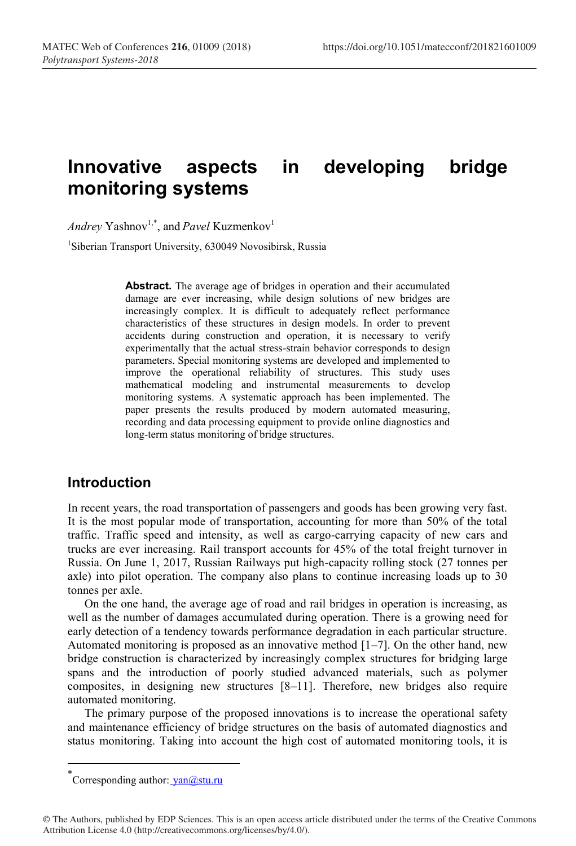# **Innovative aspects in developing bridge monitoring systems**

*Andrey* Yashnov<sup>1,\*</sup>, and *Pavel* Kuzmenkov<sup>1</sup>

1 Siberian Transport University, 630049 Novosibirsk, Russia

**Abstract.** The average age of bridges in operation and their accumulated damage are ever increasing, while design solutions of new bridges are increasingly complex. It is difficult to adequately reflect performance characteristics of these structures in design models. In order to prevent accidents during construction and operation, it is necessary to verify experimentally that the actual stress-strain behavior corresponds to design parameters. Special monitoring systems are developed and implemented to improve the operational reliability of structures. This study uses mathematical modeling and instrumental measurements to develop monitoring systems. A systematic approach has been implemented. The paper presents the results produced by modern automated measuring, recording and data processing equipment to provide online diagnostics and long-term status monitoring of bridge structures.

### **Introduction**

In recent years, the road transportation of passengers and goods has been growing very fast. It is the most popular mode of transportation, accounting for more than 50% of the total traffic. Traffic speed and intensity, as well as cargo-carrying capacity of new cars and trucks are ever increasing. Rail transport accounts for 45% of the total freight turnover in Russia. On June 1, 2017, Russian Railways put high-capacity rolling stock (27 tonnes per axle) into pilot operation. The company also plans to continue increasing loads up to 30 tonnes per axle.

On the one hand, the average age of road and rail bridges in operation is increasing, as well as the number of damages accumulated during operation. There is a growing need for early detection of a tendency towards performance degradation in each particular structure. Automated monitoring is proposed as an innovative method  $[1–7]$ . On the other hand, new bridge construction is characterized by increasingly complex structures for bridging large spans and the introduction of poorly studied advanced materials, such as polymer composites, in designing new structures [8–11]. Therefore, new bridges also require automated monitoring.

The primary purpose of the proposed innovations is to increase the operational safety and maintenance efficiency of bridge structures on the basis of automated diagnostics and status monitoring. Taking into account the high cost of automated monitoring tools, it is

<sup>\*&</sup>lt;br>Corresponding author: <u>yan@stu.ru</u>

<sup>©</sup> The Authors, published by EDP Sciences. This is an open access article distributed under the terms of the Creative Commons Attribution License 4.0 (http://creativecommons.org/licenses/by/4.0/).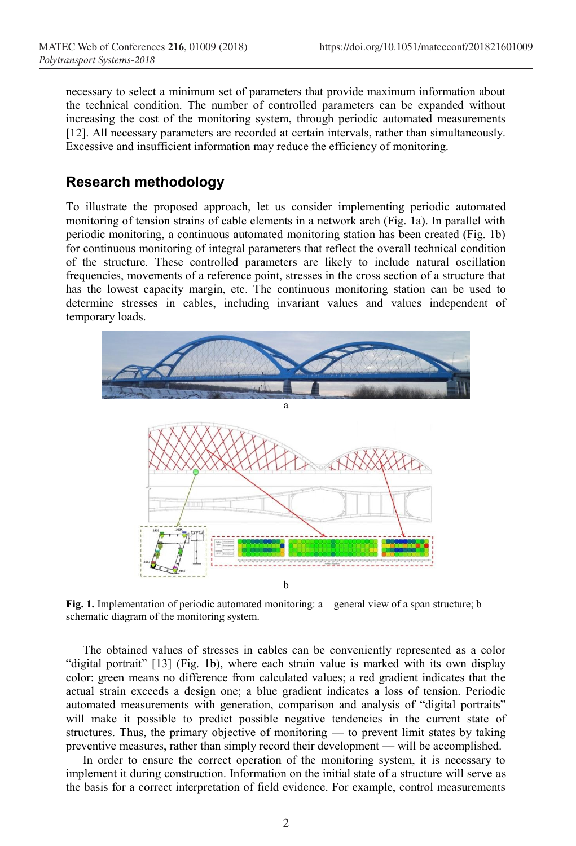necessary to select a minimum set of parameters that provide maximum information about the technical condition. The number of controlled parameters can be expanded without increasing the cost of the monitoring system, through periodic automated measurements [12]. All necessary parameters are recorded at certain intervals, rather than simultaneously. Excessive and insufficient information may reduce the efficiency of monitoring.

#### **Research methodology**

To illustrate the proposed approach, let us consider implementing periodic automated monitoring of tension strains of cable elements in a network arch (Fig. 1a). In parallel with periodic monitoring, a continuous automated monitoring station has been created (Fig. 1b) for continuous monitoring of integral parameters that reflect the overall technical condition of the structure. These controlled parameters are likely to include natural oscillation frequencies, movements of a reference point, stresses in the cross section of a structure that has the lowest capacity margin, etc. The continuous monitoring station can be used to determine stresses in cables, including invariant values and values independent of temporary loads.



**Fig. 1.** Implementation of periodic automated monitoring: a – general view of a span structure; b – schematic diagram of the monitoring system.

The obtained values of stresses in cables can be conveniently represented as a color "digital portrait" [13] (Fig. 1b), where each strain value is marked with its own display color: green means no difference from calculated values; a red gradient indicates that the actual strain exceeds a design one; a blue gradient indicates a loss of tension. Periodic automated measurements with generation, comparison and analysis of "digital portraits" will make it possible to predict possible negative tendencies in the current state of structures. Thus, the primary objective of monitoring — to prevent limit states by taking preventive measures, rather than simply record their development — will be accomplished.

In order to ensure the correct operation of the monitoring system, it is necessary to implement it during construction. Information on the initial state of a structure will serve as the basis for a correct interpretation of field evidence. For example, control measurements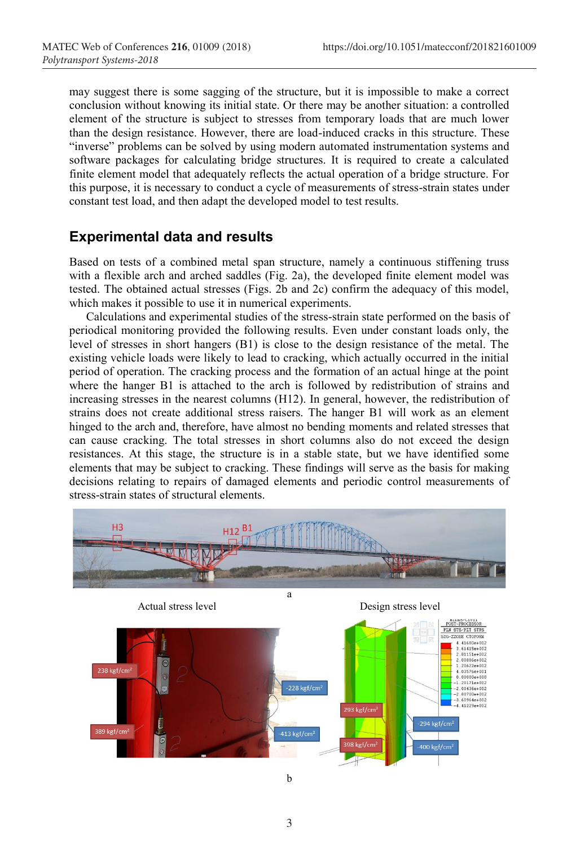may suggest there is some sagging of the structure, but it is impossible to make a correct conclusion without knowing its initial state. Or there may be another situation: a controlled element of the structure is subject to stresses from temporary loads that are much lower than the design resistance. However, there are load-induced cracks in this structure. These "inverse" problems can be solved by using modern automated instrumentation systems and software packages for calculating bridge structures. It is required to create a calculated finite element model that adequately reflects the actual operation of a bridge structure. For this purpose, it is necessary to conduct a cycle of measurements of stress-strain states under constant test load, and then adapt the developed model to test results.

## **Experimental data and results**

Based on tests of a combined metal span structure, namely a continuous stiffening truss with a flexible arch and arched saddles (Fig. 2a), the developed finite element model was tested. The obtained actual stresses (Figs. 2b and 2c) confirm the adequacy of this model, which makes it possible to use it in numerical experiments.

Calculations and experimental studies of the stress-strain state performed on the basis of periodical monitoring provided the following results. Even under constant loads only, the level of stresses in short hangers (B1) is close to the design resistance of the metal. The existing vehicle loads were likely to lead to cracking, which actually occurred in the initial period of operation. The cracking process and the formation of an actual hinge at the point where the hanger B1 is attached to the arch is followed by redistribution of strains and increasing stresses in the nearest columns (H12). In general, however, the redistribution of strains does not create additional stress raisers. The hanger B1 will work as an element hinged to the arch and, therefore, have almost no bending moments and related stresses that can cause cracking. The total stresses in short columns also do not exceed the design resistances. At this stage, the structure is in a stable state, but we have identified some elements that may be subject to cracking. These findings will serve as the basis for making decisions relating to repairs of damaged elements and periodic control measurements of stress-strain states of structural elements.



3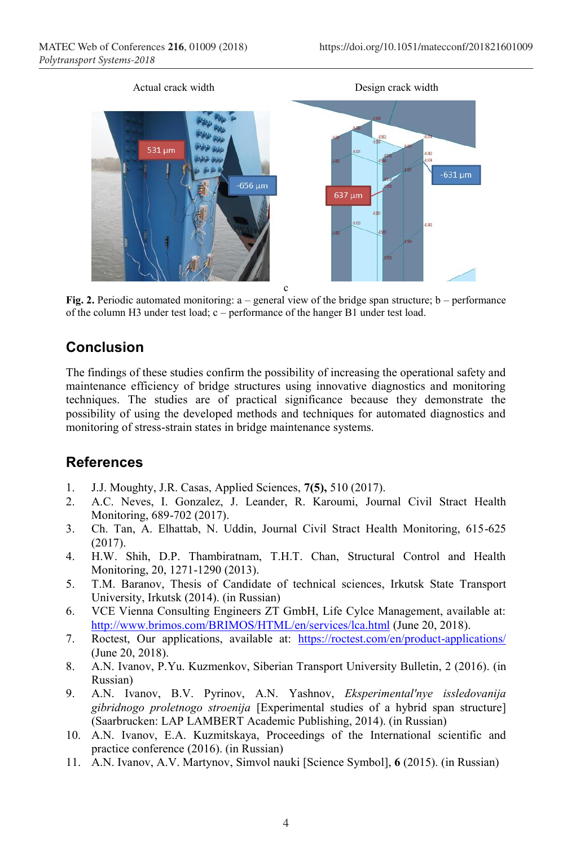

**Fig. 2.** Periodic automated monitoring:  $a -$  general view of the bridge span structure;  $b -$  performance of the column H3 under test load; c – performance of the hanger B1 under test load.

# **Conclusion**

The findings of these studies confirm the possibility of increasing the operational safety and maintenance efficiency of bridge structures using innovative diagnostics and monitoring techniques. The studies are of practical significance because they demonstrate the possibility of using the developed methods and techniques for automated diagnostics and monitoring of stress-strain states in bridge maintenance systems.

## **References**

- 1. J.J. Moughty, J.R. Casas, Applied Sciences, **7(5),** 510 (2017).
- 2. A.C. Neves, I. Gonzalez, J. Leander, R. Karoumi, Journal Civil Stract Health Monitoring, 689-702 (2017).
- 3. Ch. Tan, A. Elhattab, N. Uddin, Journal Civil Stract Health Monitoring, 615-625 (2017).
- 4. H.W. Shih, D.P. Thambiratnam, T.H.T. Chan, Structural Control and Health Monitoring, 20, 1271-1290 (2013).
- 5. T.M. Baranov, Thesis of Candidate of technical sciences, Irkutsk State Transport University, Irkutsk (2014). (in Russian)
- 6. VCE Vienna Consulting Engineers ZT GmbH, Life Cylce Management, available at: http://www.brimos.com/BRIMOS/HTML/en/services/lca.html (June 20, 2018).
- 7. Roctest, Our applications, available at: https://roctest.com/en/product-applications/ (June 20, 2018).
- 8. A.N. Ivanov, P.Yu. Kuzmenkov, Siberian Transport University Bulletin, 2 (2016). (in Russian)
- 9. A.N. Ivanov, B.V. Pyrinov, A.N. Yashnov, *Eksperimental'nye issledovanija gibridnogo proletnogo stroenija* [Experimental studies of a hybrid span structure] (Saarbrucken: LAP LAMBERT Academic Publishing, 2014). (in Russian)
- 10. A.N. Ivanov, E.A. Kuzmitskaya, Proceedings of the International scientific and practice conference (2016). (in Russian)
- 11. A.N. Ivanov, A.V. Martynov, Simvol nauki [Science Symbol], **6** (2015). (in Russian)